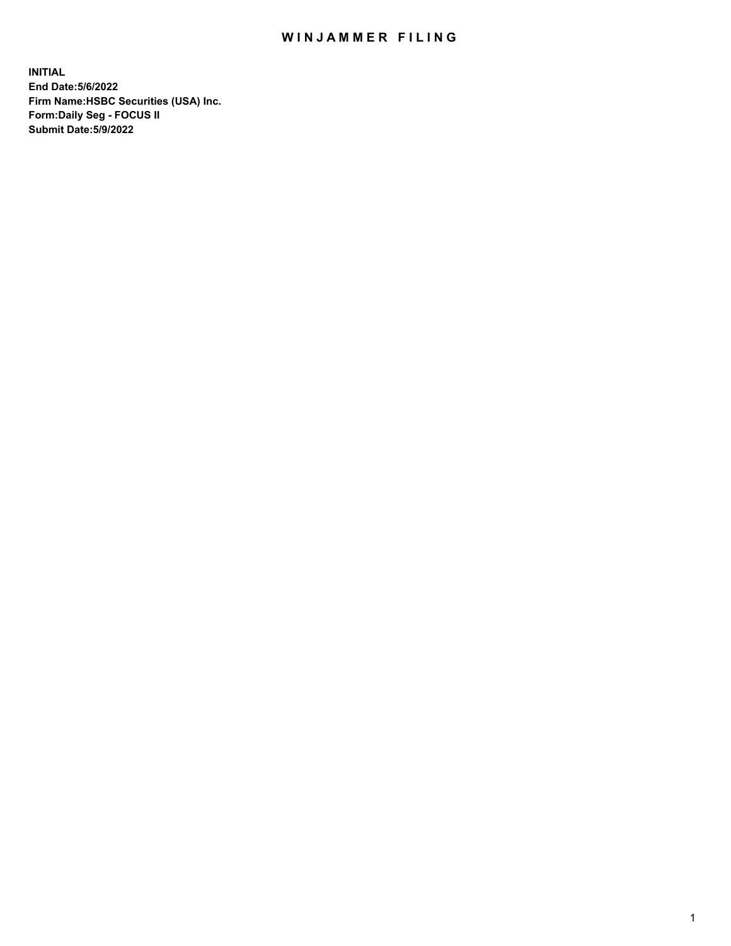## WIN JAMMER FILING

**INITIAL End Date:5/6/2022 Firm Name:HSBC Securities (USA) Inc. Form:Daily Seg - FOCUS II Submit Date:5/9/2022**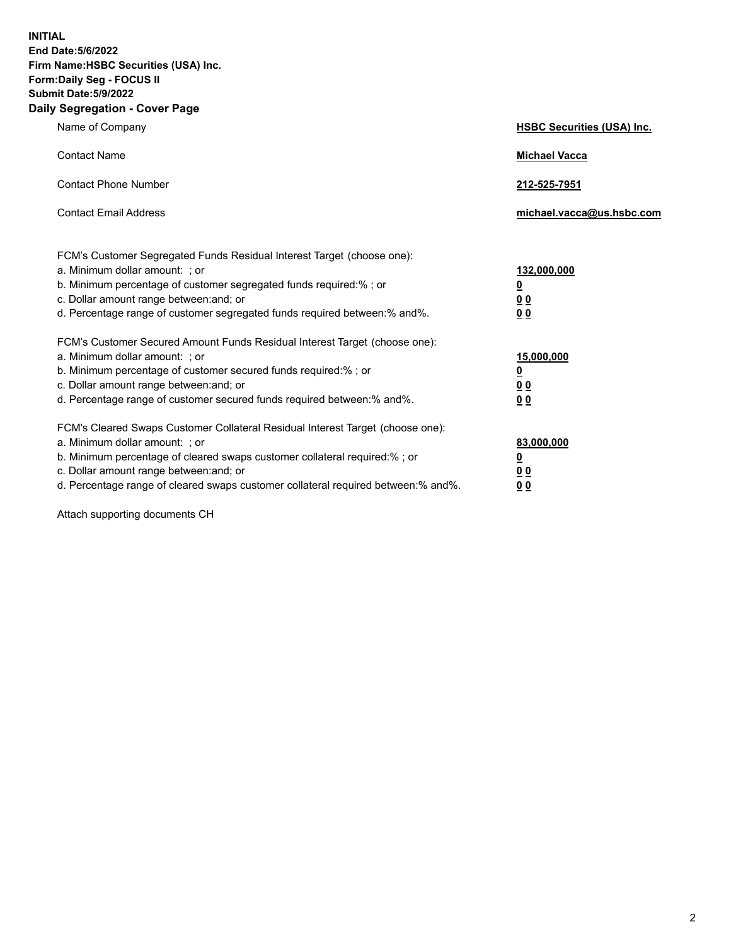**INITIAL End Date:5/6/2022 Firm Name:HSBC Securities (USA) Inc. Form:Daily Seg - FOCUS II Submit Date:5/9/2022 Daily Segregation - Cover Page**

| Name of Company                                                                                                                                                                                                                                                                                                               | <b>HSBC Securities (USA) Inc.</b>                          |
|-------------------------------------------------------------------------------------------------------------------------------------------------------------------------------------------------------------------------------------------------------------------------------------------------------------------------------|------------------------------------------------------------|
| <b>Contact Name</b>                                                                                                                                                                                                                                                                                                           | <b>Michael Vacca</b>                                       |
| <b>Contact Phone Number</b>                                                                                                                                                                                                                                                                                                   | 212-525-7951                                               |
| <b>Contact Email Address</b>                                                                                                                                                                                                                                                                                                  | michael.vacca@us.hsbc.com                                  |
| FCM's Customer Segregated Funds Residual Interest Target (choose one):<br>a. Minimum dollar amount: ; or<br>b. Minimum percentage of customer segregated funds required:%; or<br>c. Dollar amount range between: and; or<br>d. Percentage range of customer segregated funds required between:% and%.                         | 132,000,000<br><u>0</u><br>0 <sub>0</sub><br>00            |
| FCM's Customer Secured Amount Funds Residual Interest Target (choose one):<br>a. Minimum dollar amount: ; or<br>b. Minimum percentage of customer secured funds required:%; or<br>c. Dollar amount range between: and; or<br>d. Percentage range of customer secured funds required between: % and %.                         | 15,000,000<br><u>0</u><br>0 <sub>0</sub><br>0 <sub>0</sub> |
| FCM's Cleared Swaps Customer Collateral Residual Interest Target (choose one):<br>a. Minimum dollar amount: ; or<br>b. Minimum percentage of cleared swaps customer collateral required:%; or<br>c. Dollar amount range between: and; or<br>d. Percentage range of cleared swaps customer collateral required between:% and%. | 83,000,000<br><u>0</u><br><u>00</u><br>00                  |

Attach supporting documents CH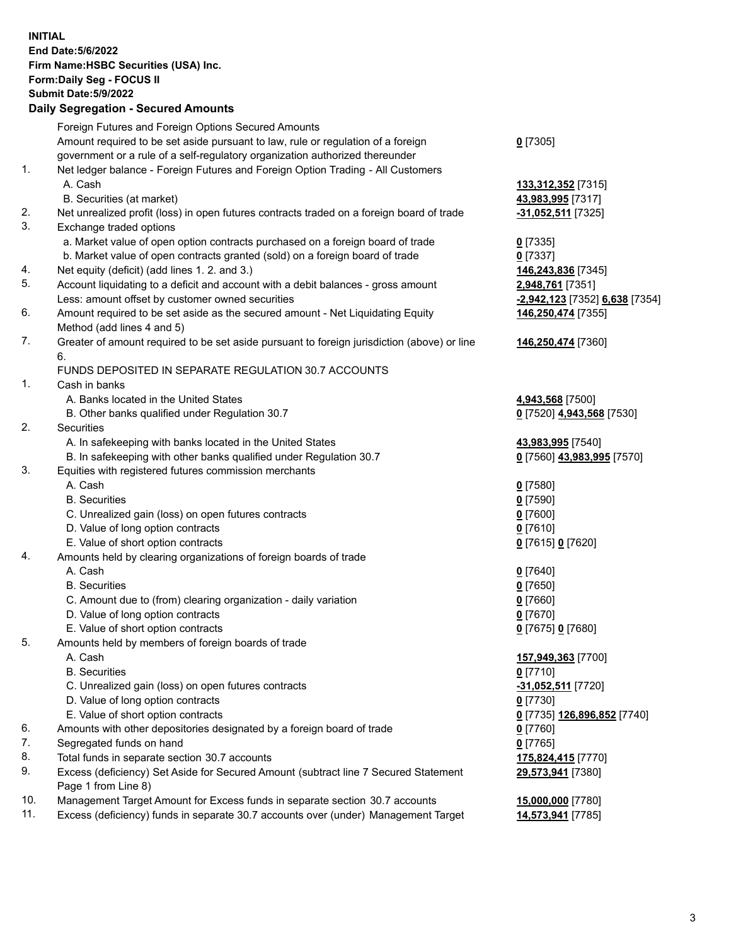**INITIAL End Date:5/6/2022 Firm Name:HSBC Securities (USA) Inc. Form:Daily Seg - FOCUS II Submit Date:5/9/2022 Daily Segregation - Secured Amounts** Foreign Futures and Foreign Options Secured Amounts Amount required to be set aside pursuant to law, rule or regulation of a foreign government or a rule of a self-regulatory organization authorized thereunder **0** [7305] 1. Net ledger balance - Foreign Futures and Foreign Option Trading - All Customers A. Cash **133,312,352** [7315] B. Securities (at market) **43,983,995** [7317] 2. Net unrealized profit (loss) in open futures contracts traded on a foreign board of trade **-31,052,511** [7325] 3. Exchange traded options a. Market value of open option contracts purchased on a foreign board of trade **0** [7335] b. Market value of open contracts granted (sold) on a foreign board of trade **0** [7337] 4. Net equity (deficit) (add lines 1. 2. and 3.) **146,243,836** [7345] 5. Account liquidating to a deficit and account with a debit balances - gross amount **2,948,761** [7351] Less: amount offset by customer owned securities **-2,942,123** [7352] **6,638** [7354] 6. Amount required to be set aside as the secured amount - Net Liquidating Equity Method (add lines 4 and 5) **146,250,474** [7355] 7. Greater of amount required to be set aside pursuant to foreign jurisdiction (above) or line 6. **146,250,474** [7360] FUNDS DEPOSITED IN SEPARATE REGULATION 30.7 ACCOUNTS 1. Cash in banks A. Banks located in the United States **4,943,568** [7500] B. Other banks qualified under Regulation 30.7 **0** [7520] **4,943,568** [7530] 2. Securities A. In safekeeping with banks located in the United States **43,983,995** [7540] B. In safekeeping with other banks qualified under Regulation 30.7 **0** [7560] **43,983,995** [7570] 3. Equities with registered futures commission merchants A. Cash **0** [7580] B. Securities **0** [7590] C. Unrealized gain (loss) on open futures contracts **0** [7600] D. Value of long option contracts **0** [7610] E. Value of short option contracts **0** [7615] **0** [7620] 4. Amounts held by clearing organizations of foreign boards of trade A. Cash **0** [7640] B. Securities **0** [7650] C. Amount due to (from) clearing organization - daily variation **0** [7660] D. Value of long option contracts **0** [7670] E. Value of short option contracts **0** [7675] **0** [7680] 5. Amounts held by members of foreign boards of trade A. Cash **157,949,363** [7700] B. Securities **0** [7710] C. Unrealized gain (loss) on open futures contracts **-31,052,511** [7720] D. Value of long option contracts **0** [7730] E. Value of short option contracts **0** [7735] **126,896,852** [7740] 6. Amounts with other depositories designated by a foreign board of trade **0** [7760] 7. Segregated funds on hand **0** [7765] 8. Total funds in separate section 30.7 accounts **175,824,415** [7770] 9. Excess (deficiency) Set Aside for Secured Amount (subtract line 7 Secured Statement Page 1 from Line 8) **29,573,941** [7380] 10. Management Target Amount for Excess funds in separate section 30.7 accounts **15,000,000** [7780] 11. Excess (deficiency) funds in separate 30.7 accounts over (under) Management Target **14,573,941** [7785]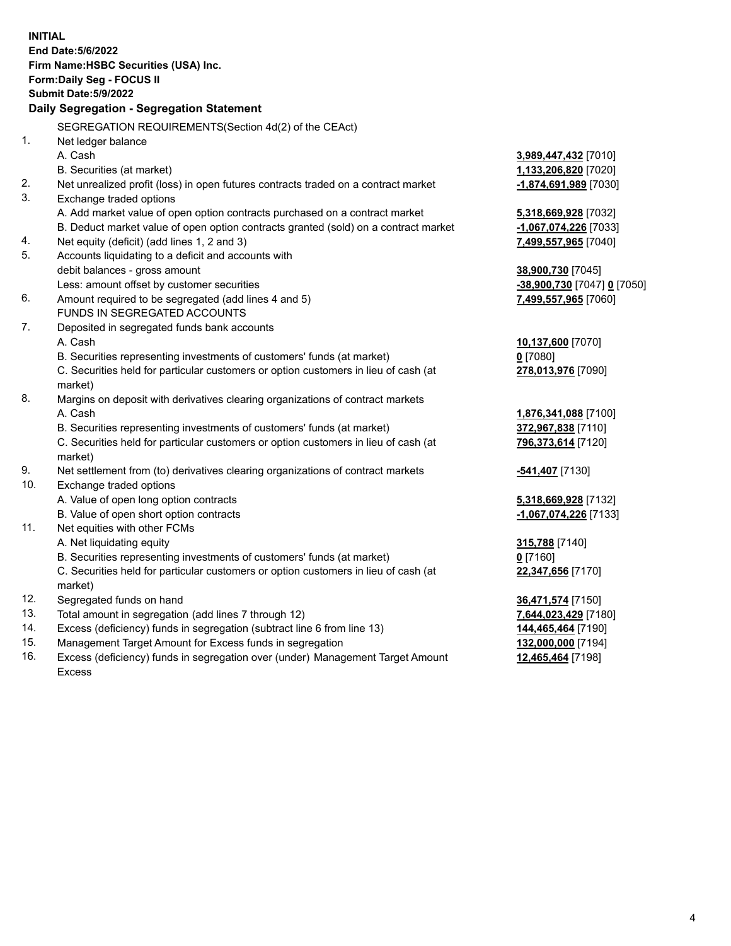| <b>INITIAL</b> | End Date: 5/6/2022<br>Firm Name: HSBC Securities (USA) Inc.<br>Form: Daily Seg - FOCUS II<br>Submit Date: 5/9/2022<br>Daily Segregation - Segregation Statement |                                          |
|----------------|-----------------------------------------------------------------------------------------------------------------------------------------------------------------|------------------------------------------|
|                | SEGREGATION REQUIREMENTS(Section 4d(2) of the CEAct)                                                                                                            |                                          |
| 1.             | Net ledger balance                                                                                                                                              |                                          |
|                | A. Cash                                                                                                                                                         | 3,989,447,432 [7010]                     |
|                | B. Securities (at market)                                                                                                                                       | 1,133,206,820 [7020]                     |
| 2.             | Net unrealized profit (loss) in open futures contracts traded on a contract market                                                                              | -1,874,691,989 [7030]                    |
| 3.             | Exchange traded options                                                                                                                                         |                                          |
|                | A. Add market value of open option contracts purchased on a contract market                                                                                     | 5,318,669,928 [7032]                     |
|                | B. Deduct market value of open option contracts granted (sold) on a contract market                                                                             | -1,067,074,226 [7033]                    |
| 4.<br>5.       | Net equity (deficit) (add lines 1, 2 and 3)                                                                                                                     | 7,499,557,965 [7040]                     |
|                | Accounts liquidating to a deficit and accounts with<br>debit balances - gross amount                                                                            | 38,900,730 [7045]                        |
|                | Less: amount offset by customer securities                                                                                                                      | -38,900,730 [7047] 0 [7050]              |
| 6.             | Amount required to be segregated (add lines 4 and 5)                                                                                                            | 7,499,557,965 [7060]                     |
|                | FUNDS IN SEGREGATED ACCOUNTS                                                                                                                                    |                                          |
| 7.             | Deposited in segregated funds bank accounts                                                                                                                     |                                          |
|                | A. Cash                                                                                                                                                         | 10,137,600 [7070]                        |
|                | B. Securities representing investments of customers' funds (at market)                                                                                          | $0$ [7080]                               |
|                | C. Securities held for particular customers or option customers in lieu of cash (at                                                                             | 278,013,976 [7090]                       |
|                | market)                                                                                                                                                         |                                          |
| 8.             | Margins on deposit with derivatives clearing organizations of contract markets                                                                                  |                                          |
|                | A. Cash                                                                                                                                                         | 1,876,341,088 [7100]                     |
|                | B. Securities representing investments of customers' funds (at market)                                                                                          | 372,967,838 [7110]                       |
|                | C. Securities held for particular customers or option customers in lieu of cash (at                                                                             | 796,373,614 [7120]                       |
|                | market)                                                                                                                                                         |                                          |
| 9.             | Net settlement from (to) derivatives clearing organizations of contract markets                                                                                 | -541,407 <sup>[7130]</sup>               |
| 10.            | Exchange traded options                                                                                                                                         |                                          |
|                | A. Value of open long option contracts                                                                                                                          | 5,318,669,928 [7132]                     |
|                | B. Value of open short option contracts                                                                                                                         | -1,067,074,226 [7133]                    |
| 11.            | Net equities with other FCMs                                                                                                                                    |                                          |
|                | A. Net liquidating equity                                                                                                                                       | 315,788 [7140]                           |
|                | B. Securities representing investments of customers' funds (at market)                                                                                          | $0$ [7160]                               |
|                | C. Securities held for particular customers or option customers in lieu of cash (at                                                                             | 22,347,656 [7170]                        |
|                | market)                                                                                                                                                         |                                          |
| 12.<br>13.     | Segregated funds on hand<br>Total amount in segregation (add lines 7 through 12)                                                                                | 36,471,574 [7150]                        |
| 14.            | Excess (deficiency) funds in segregation (subtract line 6 from line 13)                                                                                         | 7,644,023,429 [7180]                     |
| 15.            | Management Target Amount for Excess funds in segregation                                                                                                        | 144,465,464 [7190]<br>132,000,000 [7194] |
| 16.            | Excess (deficiency) funds in segregation over (under) Management Target Amount                                                                                  | 12,465,464 [7198]                        |
|                | <b>Excess</b>                                                                                                                                                   |                                          |
|                |                                                                                                                                                                 |                                          |